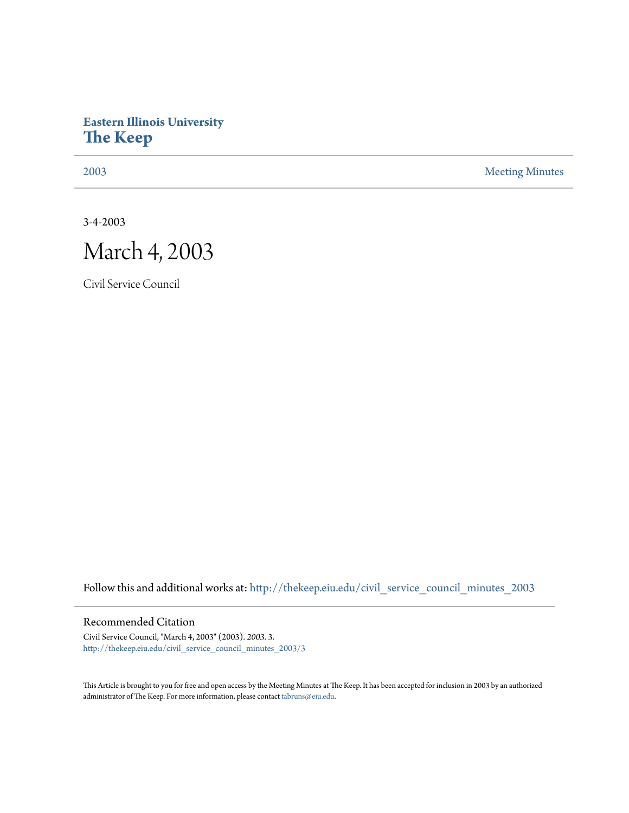## **Eastern Illinois University [The Keep](http://thekeep.eiu.edu?utm_source=thekeep.eiu.edu%2Fcivil_service_council_minutes_2003%2F3&utm_medium=PDF&utm_campaign=PDFCoverPages)**

[2003](http://thekeep.eiu.edu/civil_service_council_minutes_2003?utm_source=thekeep.eiu.edu%2Fcivil_service_council_minutes_2003%2F3&utm_medium=PDF&utm_campaign=PDFCoverPages) [Meeting Minutes](http://thekeep.eiu.edu/civil_service_council_minutes?utm_source=thekeep.eiu.edu%2Fcivil_service_council_minutes_2003%2F3&utm_medium=PDF&utm_campaign=PDFCoverPages)

3-4-2003

## March 4, 2003

Civil Service Council

Follow this and additional works at: [http://thekeep.eiu.edu/civil\\_service\\_council\\_minutes\\_2003](http://thekeep.eiu.edu/civil_service_council_minutes_2003?utm_source=thekeep.eiu.edu%2Fcivil_service_council_minutes_2003%2F3&utm_medium=PDF&utm_campaign=PDFCoverPages)

## Recommended Citation

Civil Service Council, "March 4, 2003" (2003). *2003*. 3. [http://thekeep.eiu.edu/civil\\_service\\_council\\_minutes\\_2003/3](http://thekeep.eiu.edu/civil_service_council_minutes_2003/3?utm_source=thekeep.eiu.edu%2Fcivil_service_council_minutes_2003%2F3&utm_medium=PDF&utm_campaign=PDFCoverPages)

This Article is brought to you for free and open access by the Meeting Minutes at The Keep. It has been accepted for inclusion in 2003 by an authorized administrator of The Keep. For more information, please contact [tabruns@eiu.edu.](mailto:tabruns@eiu.edu)